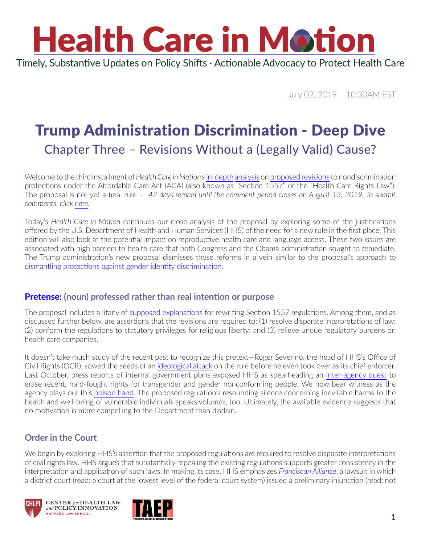Timely, Substantive Updates on Policy Shifts · Actionable Advocacy to Protect Health Care

July 02, 2019 10:30AM EST

### Trump Administration Discrimination - Deep Dive Chapter Three – Revisions Without a (Legally Valid) Cause?

Welcome to the third installment of *Health Care in Motion's*[in-depth](https://www.chlpi.org/wp-content/uploads/2013/12/HCIM_6_05_2019.pdf) [analysis](https://www.chlpi.org/wp-content/uploads/2013/12/HCIM_6_20_2019.pdf) on [proposed revisions](https://www.govinfo.gov/content/pkg/FR-2019-06-14/pdf/2019-11512.pdf) to nondiscrimination protections under the Affordable Care Act (ACA) (also known as "Section 1557" or the "Health Care Rights Law"). The proposal is [not yet a final rule](https://www.chlpi.org/wp-content/uploads/2013/12/HCIM_5_24_2019.pdf) – *42 days remain until the comment period closes on August 13, 2019. To submit comments, click [here](https://www.federalregister.gov/documents/2019/06/14/2019-11512/nondiscrimination-in-health-and-health-education-programs-or-activities).*

Today's *Health Care in Motion* continues our close analysis of the proposal by exploring some of the justifications offered by the U.S. Department of Health and Human Services (HHS) of the need for a new rule in the first place. This edition will also look at the potential impact on reproductive health care and language access. These two issues are associated with high barriers to health care that both Congress and the Obama administration sought to remediate. The Trump administration's new proposal dismisses these reforms in a vein similar to the proposal's approach to [dismantling protections against gender identity discrimination.](https://www.chlpi.org/wp-content/uploads/2013/12/HCIM_6_20_2019.pdf)

#### **[Pretense:](https://www.merriam-webster.com/dictionary/pretense) (noun) professed rather than real intention or purpose**

The proposal includes a litany of [supposed explanations](https://www.youtube.com/watch?v=C9dFKRZ8EbU) for rewriting Section 1557 regulations. Among them, and as discussed further below, are assertions that the revisions are required to: (1) resolve disparate interpretations of law; (2) conform the regulations to statutory privileges for religious liberty; and (3) relieve undue regulatory burdens on health care companies.

It doesn't take much study of the recent past to recognize this pretext—Roger Severino, the head of HHS's Office of Civil Rights (OCR), sowed the seeds of an [ideological attack](https://www.heritage.org/health-care-reform/report/proposed-obamacare-gender-identity-mandate-threatens-freedom-conscience) on the rule before he even took over as its chief enforcer. Last October, press reports of internal government plans exposed HHS as spearheading an [inter-agency quest](https://www.nytimes.com/2018/10/21/us/politics/transgender-trump-administration-sex-definition.html) to erase recent, hard-fought rights for transgender and gender nonconforming people. We now bear witness as the agency plays out this [poison hand](https://www.youtube.com/watch?v=_yNntwSjOwo). The proposed regulation's resounding silence concerning inevitable harms to the health and well-being of vulnerable individuals speaks volumes, too. Ultimately, the available evidence suggests that no motivation is more compelling to the Department than disdain.

#### **Order in the Court**

We begin by exploring HHS's assertion that the proposed regulations are required to resolve disparate interpretations of civil rights law. HHS argues that substantially repealing the existing regulations supports greater consistency in the interpretation and application of such laws. In making its case, HHS emphasizes *[Franciscan Alliance](https://www.healthaffairs.org/do/10.1377/hblog20180122.689768/full/)*, a lawsuit in which a district court (read: a court at the lowest level of the federal court system) issued a preliminary injunction (read: not





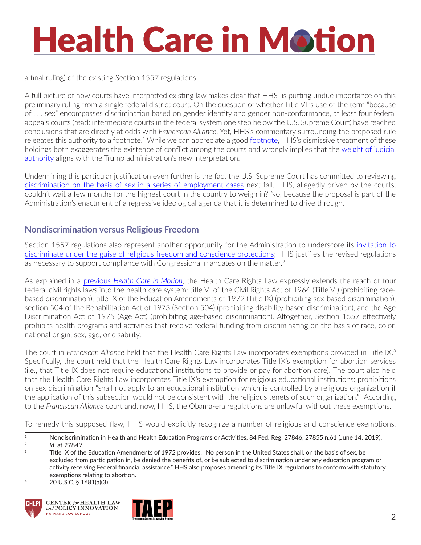a final ruling) of the existing Section 1557 regulations.

A full picture of how courts have interpreted existing law makes clear that HHS is putting undue importance on this preliminary ruling from a single federal district court. On the question of whether Title VII's use of the term "because of . . . sex" encompasses discrimination based on gender identity and gender non-conformance, at least four federal appeals courts (read: intermediate courts in the federal system one step below the U.S. Supreme Court) have reached conclusions that are directly at odds with *Franciscan Alliance*. Yet, HHS's commentary surrounding the proposed rule relegates this authority to a [footnote](https://www.newyorker.com/news/news-desk/ruth-bader-ginsburg-and-footnote-four).<sup>1</sup> While we can appreciate a good footnote, HHS's dismissive treatment of these holdings both exaggerates the existence of conflict among the courts and wrongly implies that the [weight of judicial](https://www.healthaffairs.org/do/10.1377/hblog20181002.142178/full/)  [authority](https://www.healthaffairs.org/do/10.1377/hblog20181002.142178/full/) aligns with the Trump administration's new interpretation.

Undermining this particular justification even further is the fact the U.S. Supreme Court has committed to reviewing [discrimination on the basis of sex in a series of employment cases](https://www.chlpi.org/wp-content/uploads/2013/12/HCIM_04_23_2019.pdf) next fall. HHS, allegedly driven by the courts, couldn't wait a few months for the highest court in the country to weigh in? No, because the proposal is part of the Administration's enactment of a regressive ideological agenda that it is determined to drive through.

#### **Nondiscrimination versus Religious Freedom**

Section 1557 regulations also represent another opportunity for the Administration to underscore its [invitation to](https://www.chlpi.org/wp-content/uploads/2013/12/HCIM_2_19_2019-1.pdf)  [discriminate under the guise of religious freedom and conscience protections;](https://www.chlpi.org/wp-content/uploads/2013/12/HCIM_2_19_2019-1.pdf) HHS justifies the revised regulations as necessary to support compliance with Congressional mandates on the matter.<sup>2</sup>

As explained in a previous *[Health Care in Motion](https://www.chlpi.org/wp-content/uploads/2013/12/HCIM_6_20_2019.pdf)*, the Health Care Rights Law expressly extends the reach of four federal civil rights laws into the health care system: title VI of the Civil Rights Act of 1964 (Title VI) (prohibiting racebased discrimination), title IX of the Education Amendments of 1972 (Title IX) (prohibiting sex-based discrimination), section 504 of the Rehabilitation Act of 1973 (Section 504) (prohibiting disability-based discrimination), and the Age Discrimination Act of 1975 (Age Act) (prohibiting age-based discrimination). Altogether, Section 1557 effectively prohibits health programs and activities that receive federal funding from discriminating on the basis of race, color, national origin, sex, age, or disability.

The court in *Franciscan Alliance* held that the Health Care Rights Law incorporates exemptions provided in Title IX.3 Specifically, the court held that the Health Care Rights Law incorporates Title IX's exemption for abortion services (i.e., that Title IX does not require educational institutions to provide or pay for abortion care). The court also held that the Health Care Rights Law incorporates Title IX's exemption for religious educational institutions: prohibitions on sex discrimination "shall not apply to an educational institution which is controlled by a religious organization if the application of this subsection would not be consistent with the religious tenets of such organization."<sup>4</sup> According to the *Franciscan Alliance* court and, now, HHS, the Obama-era regulations are unlawful without these exemptions.

To remedy this supposed flaw, HHS would explicitly recognize a number of religious and conscience exemptions,

 $4$  20 U.S.C. § 1681(a)(3).





 $\overline{1}$  Nondiscrimination in Health and Health Education Programs or Activities, 84 Fed. Reg. 27846, 27855 n.61 (June 14, 2019). <sup>2</sup> *Id*. at 27849.

 $3 \text{$  Title IX of the Education Amendments of 1972 provides: "No person in the United States shall, on the basis of sex, be excluded from participation in, be denied the benefits of, or be subjected to discrimination under any education program or activity receiving Federal financial assistance." HHS also proposes amending its Title IX regulations to conform with statutory exemptions relating to abortion.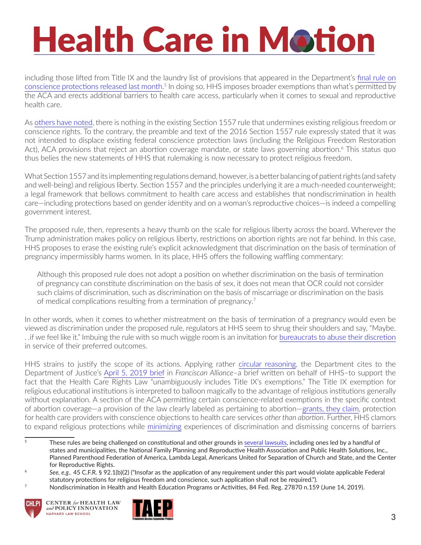including those lifted from Title IX and the laundry list of provisions that appeared in the Department's [final rule on](https://www.hhs.gov/sites/default/files/final-conscience-rule.pdf)  [conscience protections released last month](https://www.hhs.gov/sites/default/files/final-conscience-rule.pdf). 5 In doing so, HHS imposes broader exemptions than what's permitted by the ACA and erects additional barriers to health care access, particularly when it comes to sexual and reproductive health care.

As [others have noted](https://www.healthaffairs.org/do/10.1377/hblog20170102.058190/full/), there is nothing in the existing Section 1557 rule that undermines existing religious freedom or conscience rights. To the contrary, the preamble and text of the 2016 Section 1557 rule expressly stated that it was not intended to displace existing federal conscience protection laws (including the Religious Freedom Restoration Act), ACA provisions that reject an abortion coverage mandate, or state laws governing abortion.<sup>6</sup> This status quo thus belies the new statements of HHS that rulemaking is now necessary to protect religious freedom.

What Section 1557 and its implementing regulations demand, however, is a better balancing of patient rights (and safety and well-being) and religious liberty. Section 1557 and the principles underlying it are a much-needed counterweight; a legal framework that bellows commitment to health care access and establishes that nondiscrimination in health care—including protections based on gender identity and on a woman's reproductive choices—is indeed a compelling government interest.

The proposed rule, then, represents a heavy thumb on the scale for religious liberty across the board. Wherever the Trump administration makes policy on religious liberty, restrictions on abortion rights are not far behind. In this case, HHS proposes to erase the existing rule's explicit acknowledgment that discrimination on the basis of termination of pregnancy impermissibly harms women. In its place, HHS offers the following waffling commentary:

Although this proposed rule does not adopt a position on whether discrimination on the basis of termination of pregnancy can constitute discrimination on the basis of sex, it does not mean that OCR could not consider such claims of discrimination, such as discrimination on the basis of miscarriage or discrimination on the basis of medical complications resulting from a termination of pregnancy.7

In other words, when it comes to whether mistreatment on the basis of termination of a pregnancy would even be viewed as discrimination under the proposed rule, regulators at HHS seem to shrug their shoulders and say, "Maybe. . .if we feel like it." Imbuing the rule with so much wiggle room is an invitation for [bureaucrats to abuse their discretion](https://www.youtube.com/watch?v=0D7hFHfLEyk) in service of their preferred outcomes.

HHS strains to justify the scope of its actions. Applying rather [circular reasoning,](https://www.youtube.com/watch?v=8CVbku6nxhU) the Department cites to the Department of Justice's [April 5, 2019 brief](https://www.aclu.org/legal-document/franciscan-alliance-defendants-response-plaintiffs-motions-summary-judgment) in *Franciscan Alliance*–a brief written on behalf of HHS–to support the fact that the Health Care Rights Law "unambiguously includes Title IX's exemptions." The Title IX exemption for religious educational institutions is interpreted to balloon magically to the advantage of religious institutions generally without explanation. A section of the ACA permitting certain conscience-related exemptions in the specific context of abortion coverage—a provision of the law clearly labeled as pertaining to abortion—[grants, they claim,](https://www.youtube.com/watch?v=DK_0jXPuIr0) protection for health care providers with conscience objections to health care services *other than abortion*. Further, HHS clamors to expand religious protections while [minimizing](https://www.nbcnews.com/feature/nbc-out/religious-freedom-rule-could-cause-significant-damage-lgbtq-health-care-n1001996) experiences of discrimination and dismissing concerns of barriers

 $7 \,$  Nondiscrimination in Health and Health Education Programs or Activities, 84 Fed. Reg. 27870 n.159 (June 14, 2019).





<sup>&</sup>lt;sup>5</sup> These rules are being challenged on constitutional and other grounds in several [lawsuits](https://www.crainsnewyork.com/health-care/lawsuit-challenges-refusal-care-rule), including ones led by a handful of states and municipalities, the National Family Planning and Reproductive Health Association and Public Health Solutions, Inc., Planned Parenthood Federation of America, Lambda Legal, Americans United for Separation of Church and State, and the Center for Reproductive Rights.

<sup>6</sup> *See, e.g.*, 45 C.F.R. § 92.1(b)(2) ("Insofar as the application of any requirement under this part would violate applicable Federal statutory protections for religious freedom and conscience, such application shall not be required.").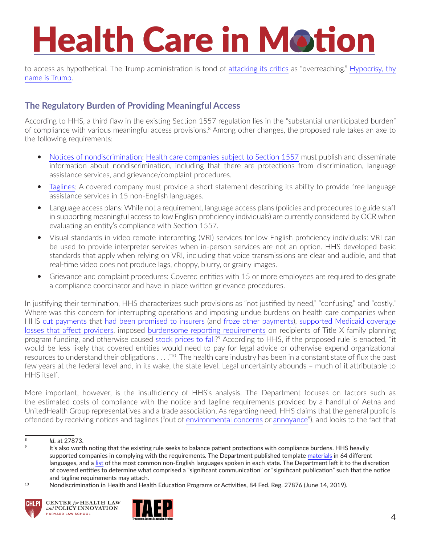to access as hypothetical. The Trump administration is fond of [attacking its critics](https://abcnews.go.com/Politics/education-secretary-betsy-devos-slams-obamas-transgender-bathroom/story?id=45690307) as "overreaching." [Hypocrisy, thy](https://www.washingtonpost.com/news/the-fix/wp/2017/04/18/trumps-old-tweets-are-quickly-becoming-a-minefield-of-hypocrisy/?utm_term=.b9634c46895a)  [name is Trump.](https://www.washingtonpost.com/news/the-fix/wp/2017/04/18/trumps-old-tweets-are-quickly-becoming-a-minefield-of-hypocrisy/?utm_term=.b9634c46895a)

#### **The Regulatory Burden of Providing Meaningful Access**

According to HHS, a third flaw in the existing Section 1557 regulation lies in the "substantial unanticipated burden" of compliance with various meaningful access provisions.8 Among other changes, the proposed rule takes an axe to the following requirements:

- [Notices of nondiscrimination:](https://www.hhs.gov/sites/default/files/sample-ce-notice-english.pdf) [Health care companies subject to Section 1557](https://www.chlpi.org/wp-content/uploads/2013/12/HCIM_6_05_2019.pdf) must publish and disseminate information about nondiscrimination, including that there are protections from discrimination, language assistance services, and grievance/complaint procedures.
- [Taglines:](https://www.hhs.gov/sites/default/files/sample-ce-tagline-english.pdf) A covered company must provide a short statement describing its ability to provide free language assistance services in 15 non-English languages.
- Language access plans: While not a requirement, language access plans (policies and procedures to guide staff in supporting meaningful access to low English proficiency individuals) are currently considered by OCR when evaluating an entity's compliance with Section 1557.
- Visual standards in video remote interpreting (VRI) services for low English proficiency individuals: VRI can be used to provide interpreter services when in-person services are not an option. HHS developed basic standards that apply when relying on VRI, including that voice transmissions are clear and audible, and that real-time video does not produce lags, choppy, blurry, or grainy images.
- Grievance and complaint procedures: Covered entities with 15 or more employees are required to designate a compliance coordinator and have in place written grievance procedures.

In justifying their termination, HHS characterizes such provisions as "not justified by need," "confusing," and "costly." Where was this concern for interrupting operations and imposing undue burdens on health care companies when HHS [cut payments](https://www.washingtonpost.com/nation/2018/08/28/trump-administration-pay-new-york-minnesota-lost-health-care-funds/?utm_term=.d12aa2b7b037) that [had been promised to insurers](https://www.scotusblog.com/2019/06/justices-bulk-up-next-terms-docket/) (and [froze other payments\)](https://www.baltimoresun.com/business/bs-hs-risk-payment-cuts-20180709-story.html), [supported Medicaid coverage](https://www.commonwealthfund.org/publications/issue-briefs/2019/mar/how-will-medicaid-work-requirements-affect-hospitals-finances)  [losses](https://www.commonwealthfund.org/publications/issue-briefs/2019/mar/how-will-medicaid-work-requirements-affect-hospitals-finances) that affect providers, imposed [burdensome reporting requirements](https://www.chlpi.org/wp-content/uploads/2013/12/HCIM_3_06_2019.pdf) on recipients of Title X family planning program funding, and otherwise caused [stock prices to fall](https://www.cnbc.com/2019/03/26/health-insurer-stock-fall-after-trump-administration-seeks-aca-overturn.html)?<sup>9</sup> According to HHS, if the proposed rule is enacted, "it would be less likely that covered entities would need to pay for legal advice or otherwise expend organizational resources to understand their obligations . . . . "<sup>10</sup> The health care industry has been in a constant state of flux the past few years at the federal level and, in its wake, the state level. Legal uncertainty abounds – much of it attributable to HHS itself.

More important, however, is the insufficiency of HHS's analysis. The Department focuses on factors such as the estimated costs of compliance with the notice and tagline requirements provided by a handful of Aetna and UnitedHealth Group representatives and a trade association. As regarding need, HHS claims that the general public is offended by receiving notices and taglines ("out of [environmental concerns](https://www.nytimes.com/interactive/2019/climate/trump-environment-rollbacks.html) or [annoyance](https://www.youtube.com/watch?v=DksSPZTZES0)"), and looks to the fact that

<sup>&</sup>lt;sup>10</sup> Nondiscrimination in Health and Health Education Programs or Activities, 84 Fed. Reg. 27876 (June 14, 2019).





<sup>8</sup> *Id*. at 27873.

<sup>&</sup>lt;sup>9</sup> It's also worth noting that the existing rule seeks to balance patient protections with compliance burdens. HHS heavily supported companies in complying with the requirements. The Department published template [materials](https://www.hhs.gov/civil-rights/for-individuals/section-1557/translated-resources/index.html) in 64 different languages, and a [list](https://www.hhs.gov/sites/default/files/resources-for-covered-entities-top-15-languages-list.pdf) of the most common non-English languages spoken in each state. The Department left it to the discretion of covered entities to determine what comprised a "significant communication" or "significant publication" such that the notice and tagline requirements may attach.